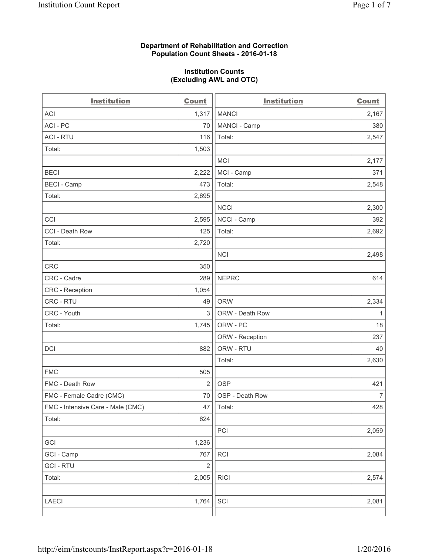### **Department of Rehabilitation and Correction Population Count Sheets - 2016-01-18**

#### **Institution Counts (Excluding AWL and OTC)**

| <b>Institution</b>                | Count          | <b>Institution</b> | <b>Count</b>   |
|-----------------------------------|----------------|--------------------|----------------|
| <b>ACI</b>                        | 1,317          | <b>MANCI</b>       | 2,167          |
| ACI-PC                            | 70             | MANCI - Camp       | 380            |
| <b>ACI - RTU</b>                  | 116            | Total:             | 2,547          |
| Total:                            | 1,503          |                    |                |
|                                   |                | MCI                | 2,177          |
| <b>BECI</b>                       | 2,222          | MCI - Camp         | 371            |
| <b>BECI</b> - Camp                | 473            | Total:             | 2,548          |
| Total:                            | 2,695          |                    |                |
|                                   |                | <b>NCCI</b>        | 2,300          |
| CCI                               | 2,595          | NCCI - Camp        | 392            |
| CCI - Death Row                   | 125            | Total:             | 2,692          |
| Total:                            | 2,720          |                    |                |
|                                   |                | <b>NCI</b>         | 2,498          |
| <b>CRC</b>                        | 350            |                    |                |
| CRC - Cadre                       | 289            | <b>NEPRC</b>       | 614            |
| CRC - Reception                   | 1,054          |                    |                |
| CRC - RTU                         | 49             | <b>ORW</b>         | 2,334          |
| CRC - Youth                       | $\mathfrak{S}$ | ORW - Death Row    | 1              |
| Total:                            | 1,745          | ORW - PC           | 18             |
|                                   |                | ORW - Reception    | 237            |
| DCI                               | 882            | ORW - RTU          | 40             |
|                                   |                | Total:             | 2,630          |
| <b>FMC</b>                        | 505            |                    |                |
| FMC - Death Row                   | $\overline{2}$ | <b>OSP</b>         | 421            |
| FMC - Female Cadre (CMC)          | 70             | OSP - Death Row    | $\overline{7}$ |
| FMC - Intensive Care - Male (CMC) | 47             | Total:             | 428            |
| Total:                            | 624            |                    |                |
|                                   |                | PCI                | 2,059          |
| GCI                               | 1,236          |                    |                |
| GCI - Camp                        | 767            | <b>RCI</b>         | 2,084          |
| <b>GCI-RTU</b>                    | $\mathbf 2$    |                    |                |
| Total:                            | 2,005          | <b>RICI</b>        | 2,574          |
|                                   |                |                    |                |
| LAECI                             | 1,764          | SCI                | 2,081          |
|                                   |                |                    |                |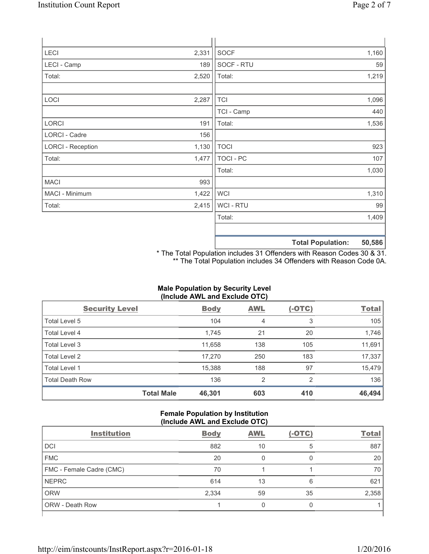| LECI                     | 2,331 | SOCF             |                          | 1,160  |
|--------------------------|-------|------------------|--------------------------|--------|
| LECI - Camp              | 189   | SOCF - RTU       |                          | 59     |
| Total:                   | 2,520 | Total:           |                          | 1,219  |
|                          |       |                  |                          |        |
| LOCI                     | 2,287 | <b>TCI</b>       |                          | 1,096  |
|                          |       | TCI - Camp       |                          | 440    |
| LORCI                    | 191   | Total:           |                          | 1,536  |
| LORCI - Cadre            | 156   |                  |                          |        |
| <b>LORCI - Reception</b> | 1,130 | <b>TOCI</b>      |                          | 923    |
| Total:                   | 1,477 | <b>TOCI - PC</b> |                          | 107    |
|                          |       | Total:           |                          | 1,030  |
| <b>MACI</b>              | 993   |                  |                          |        |
| MACI - Minimum           | 1,422 | <b>WCI</b>       |                          | 1,310  |
| Total:                   | 2,415 | <b>WCI-RTU</b>   |                          | 99     |
|                          |       | Total:           |                          | 1,409  |
|                          |       |                  |                          |        |
|                          |       |                  | <b>Total Population:</b> | 50,586 |

\* The Total Population includes 31 Offenders with Reason Codes 30 & 31. \*\* The Total Population includes 34 Offenders with Reason Code 0A.

# **Male Population by Security Level (Include AWL and Exclude OTC)**

| <b>Security Level</b>  |                   | <b>Body</b> | <b>AWL</b>     | $(-OTC)$ | <b>Total</b> |
|------------------------|-------------------|-------------|----------------|----------|--------------|
| Total Level 5          |                   | 104         | 4              | 3        | 105          |
| <b>Total Level 4</b>   |                   | 1,745       | 21             | 20       | 1,746        |
| Total Level 3          |                   | 11,658      | 138            | 105      | 11,691       |
| Total Level 2          |                   | 17,270      | 250            | 183      | 17,337       |
| Total Level 1          |                   | 15,388      | 188            | 97       | 15,479       |
| <b>Total Death Row</b> |                   | 136         | $\overline{2}$ | 2        | 136          |
|                        | <b>Total Male</b> | 46,301      | 603            | 410      | 46,494       |

## **Female Population by Institution (Include AWL and Exclude OTC)**

| <b>Institution</b>       | <b>Body</b> | <b>AWL</b> | $(-OTC)$ | <b>Total</b> |
|--------------------------|-------------|------------|----------|--------------|
| <b>DCI</b>               | 882         | 10         | 5        | 887          |
| <b>FMC</b>               | 20          | 0          | 0        | 20           |
| FMC - Female Cadre (CMC) | 70          |            |          | 70           |
| <b>NEPRC</b>             | 614         | 13         | 6        | 621          |
| <b>ORW</b>               | 2,334       | 59         | 35       | 2,358        |
| <b>ORW - Death Row</b>   |             | 0          | 0        |              |
|                          |             |            |          |              |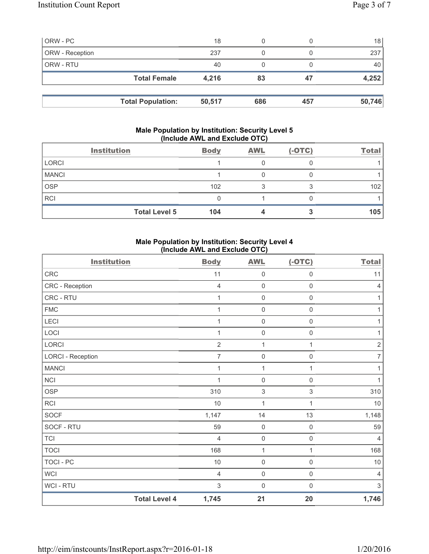| ORW - PC        |                          | 18     |     |     | 18     |
|-----------------|--------------------------|--------|-----|-----|--------|
| ORW - Reception |                          | 237    |     |     | 237    |
| ORW - RTU       |                          | 40     |     |     | 40 l   |
|                 | <b>Total Female</b>      | 4,216  | 83  | 47  | 4,252  |
|                 |                          |        |     |     |        |
|                 | <b>Total Population:</b> | 50,517 | 686 | 457 | 50,746 |

## **Male Population by Institution: Security Level 5 (Include AWL and Exclude OTC)**

|              | <b>Institution</b>   | <b>Body</b> | <b>AWL</b> | $(-OTC)$ | <b>Total</b> |
|--------------|----------------------|-------------|------------|----------|--------------|
| <b>LORCI</b> |                      |             |            |          |              |
| <b>MANCI</b> |                      |             |            |          |              |
| <b>OSP</b>   |                      | 102         |            |          | 102          |
| <b>RCI</b>   |                      |             |            |          |              |
|              | <b>Total Level 5</b> | 104         |            |          | 105          |

# **Male Population by Institution: Security Level 4 (Include AWL and Exclude OTC)**

| <b>Institution</b>       |                      | <b>Body</b>    | <b>AWL</b>          | $(-OTC)$            | <b>Total</b>   |
|--------------------------|----------------------|----------------|---------------------|---------------------|----------------|
| CRC                      |                      | 11             | $\mathbf 0$         | $\mathsf{O}\xspace$ | 11             |
| CRC - Reception          |                      | $\overline{4}$ | $\mathbf 0$         | $\mathsf 0$         | $\overline{4}$ |
| CRC - RTU                |                      | 1              | $\mathbf 0$         | $\mathsf 0$         | 1              |
| <b>FMC</b>               |                      | 1              | $\mathsf{O}\xspace$ | $\mathsf 0$         | 1              |
| LECI                     |                      | 1              | $\mathbf 0$         | $\mathsf{O}\xspace$ | 1              |
| LOCI                     |                      |                | $\mathbf 0$         | 0                   | 1              |
| LORCI                    |                      | $\overline{2}$ | $\mathbf{1}$        | 1                   | $\overline{2}$ |
| <b>LORCI - Reception</b> |                      | $\overline{7}$ | $\mathbf 0$         | $\mathsf 0$         | $\overline{7}$ |
| <b>MANCI</b>             |                      | 1              | 1                   | 1                   | 1              |
| <b>NCI</b>               |                      | 1              | $\mathbf 0$         | $\mathsf 0$         | 1              |
| <b>OSP</b>               |                      | 310            | $\,$ 3 $\,$         | $\mathfrak{S}$      | 310            |
| <b>RCI</b>               |                      | 10             | $\mathbf{1}$        | 1                   | 10             |
| SOCF                     |                      | 1,147          | 14                  | 13                  | 1,148          |
| SOCF - RTU               |                      | 59             | $\mathsf 0$         | 0                   | 59             |
| <b>TCI</b>               |                      | $\overline{4}$ | $\mathsf 0$         | $\mathsf 0$         | $\overline{4}$ |
| <b>TOCI</b>              |                      | 168            | $\mathbf{1}$        | 1                   | 168            |
| <b>TOCI - PC</b>         |                      | $10$           | $\mathbf 0$         | $\mathsf{O}\xspace$ | $10$           |
| <b>WCI</b>               |                      | $\overline{4}$ | $\mathbf 0$         | $\mathsf 0$         | 4              |
| <b>WCI-RTU</b>           |                      | 3              | $\mathbf 0$         | $\mathbf 0$         | $\sqrt{3}$     |
|                          | <b>Total Level 4</b> | 1,745          | 21                  | 20                  | 1,746          |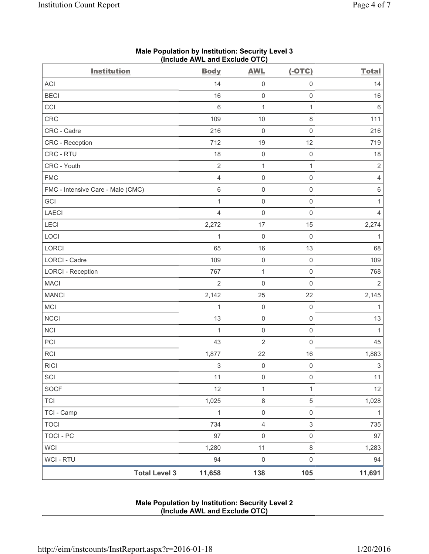| <b>Institution</b>                | <b>Body</b>    | <b>AWL</b>          | $(-OTC)$            | <b>Total</b>   |
|-----------------------------------|----------------|---------------------|---------------------|----------------|
| <b>ACI</b>                        | 14             | $\mathsf 0$         | $\mathsf 0$         | 14             |
| <b>BECI</b>                       | 16             | $\mathsf{O}\xspace$ | $\mathsf 0$         | 16             |
| CCI                               | $\,6\,$        | $\mathbf{1}$        | 1                   | 6              |
| CRC                               | 109            | 10                  | $\,8\,$             | 111            |
| CRC - Cadre                       | 216            | $\mathsf{O}\xspace$ | $\mathsf 0$         | 216            |
| CRC - Reception                   | 712            | 19                  | 12                  | 719            |
| CRC - RTU                         | 18             | $\mathsf{O}\xspace$ | $\mathsf 0$         | 18             |
| CRC - Youth                       | $\sqrt{2}$     | $\mathbf{1}$        | 1                   | $\sqrt{2}$     |
| <b>FMC</b>                        | $\overline{4}$ | 0                   | $\mathbf 0$         | 4              |
| FMC - Intensive Care - Male (CMC) | $\,6\,$        | $\mathsf{O}\xspace$ | $\mathsf 0$         | $\,6\,$        |
| GCI                               | 1              | $\mathsf{O}\xspace$ | $\mathsf 0$         | $\mathbf{1}$   |
| LAECI                             | $\overline{4}$ | $\mathsf{O}\xspace$ | $\mathsf 0$         | $\overline{4}$ |
| LECI                              | 2,272          | 17                  | 15                  | 2,274          |
| LOCI                              | 1              | 0                   | $\mathbf 0$         | 1              |
| LORCI                             | 65             | 16                  | 13                  | 68             |
| LORCI - Cadre                     | 109            | $\mathsf{O}\xspace$ | $\mathbf 0$         | 109            |
| <b>LORCI - Reception</b>          | 767            | $\mathbf{1}$        | $\mathsf{O}\xspace$ | 768            |
| <b>MACI</b>                       | $\overline{2}$ | $\mathsf{O}\xspace$ | $\mathsf 0$         | $\overline{2}$ |
| <b>MANCI</b>                      | 2,142          | 25                  | 22                  | 2,145          |
| MCI                               | 1              | $\mathsf{O}\xspace$ | $\mathsf 0$         | $\mathbf{1}$   |
| <b>NCCI</b>                       | 13             | 0                   | $\mathsf 0$         | 13             |
| <b>NCI</b>                        | 1              | $\mathsf 0$         | $\mathsf{O}\xspace$ | $\mathbf{1}$   |
| PCI                               | 43             | $\overline{2}$      | $\mathsf 0$         | 45             |
| <b>RCI</b>                        | 1,877          | 22                  | 16                  | 1,883          |
| <b>RICI</b>                       | $\,$ 3 $\,$    | $\mathsf{O}\xspace$ | $\mathsf 0$         | $\mathfrak{S}$ |
| SCI                               | 11             | $\mathsf{O}\xspace$ | $\mathsf{O}\xspace$ | 11             |
| SOCF                              | 12             | $\mathbf{1}$        | 1                   | 12             |
| <b>TCI</b>                        | 1,025          | 8                   | $\mathbf 5$         | 1,028          |
| TCI - Camp                        | $\mathbf{1}$   | $\mathsf 0$         | $\mathsf 0$         | $\mathbf{1}$   |
| <b>TOCI</b>                       | 734            | $\overline{4}$      | $\mathfrak{S}$      | 735            |
| <b>TOCI - PC</b>                  | 97             | 0                   | $\mathsf{O}\xspace$ | 97             |
| <b>WCI</b>                        | 1,280          | 11                  | $\,8\,$             | 1,283          |
| WCI - RTU                         | 94             | $\mathsf 0$         | $\mathsf 0$         | 94             |
| <b>Total Level 3</b>              | 11,658         | 138                 | 105                 | 11,691         |

# **Male Population by Institution: Security Level 3 (Include AWL and Exclude OTC)**

# **Male Population by Institution: Security Level 2 (Include AWL and Exclude OTC)**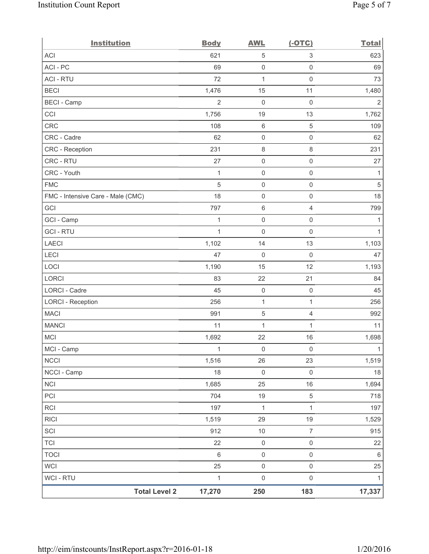| <b>Institution</b>                | <b>Body</b>    | <b>AWL</b>          | $(-OTC)$            | <b>Total</b>   |
|-----------------------------------|----------------|---------------------|---------------------|----------------|
| <b>ACI</b>                        | 621            | $\mathbf 5$         | $\,$ 3 $\,$         | 623            |
| ACI - PC                          | 69             | $\mathbf 0$         | $\mathsf{O}\xspace$ | 69             |
| <b>ACI - RTU</b>                  | 72             | $\mathbf{1}$        | $\mathsf{O}\xspace$ | 73             |
| <b>BECI</b>                       | 1,476          | 15                  | 11                  | 1,480          |
| <b>BECI - Camp</b>                | $\overline{2}$ | $\mathsf{O}\xspace$ | $\mathsf{O}\xspace$ | $\overline{2}$ |
| CCI                               | 1,756          | 19                  | 13                  | 1,762          |
| <b>CRC</b>                        | 108            | $\,6\,$             | 5                   | 109            |
| CRC - Cadre                       | 62             | $\mathsf{O}\xspace$ | $\mathsf{O}\xspace$ | 62             |
| CRC - Reception                   | 231            | $\,8\,$             | $\,8\,$             | 231            |
| CRC - RTU                         | 27             | $\mathsf{O}\xspace$ | $\mathsf{O}\xspace$ | 27             |
| CRC - Youth                       | $\mathbf{1}$   | $\mathsf{O}\xspace$ | $\mathsf 0$         | 1              |
| <b>FMC</b>                        | $\sqrt{5}$     | $\pmb{0}$           | $\mathsf{O}\xspace$ | $\sqrt{5}$     |
| FMC - Intensive Care - Male (CMC) | 18             | $\mathsf{O}\xspace$ | $\mathsf 0$         | 18             |
| GCI                               | 797            | 6                   | $\overline{4}$      | 799            |
| GCI - Camp                        | 1              | $\mathsf{O}\xspace$ | $\mathsf{O}\xspace$ | 1              |
| <b>GCI-RTU</b>                    | $\mathbf{1}$   | $\mathsf{O}\xspace$ | $\mathsf 0$         | 1              |
| <b>LAECI</b>                      | 1,102          | 14                  | 13                  | 1,103          |
| LECI                              | 47             | $\mathsf 0$         | $\mathsf 0$         | 47             |
| LOCI                              | 1,190          | 15                  | 12                  | 1,193          |
| LORCI                             | 83             | 22                  | 21                  | 84             |
| LORCI - Cadre                     | 45             | $\mathsf{O}\xspace$ | $\mathsf 0$         | 45             |
| <b>LORCI - Reception</b>          | 256            | $\mathbf 1$         | $\mathbf{1}$        | 256            |
| <b>MACI</b>                       | 991            | 5                   | $\overline{4}$      | 992            |
| <b>MANCI</b>                      | 11             | 1                   | $\mathbf{1}$        | 11             |
| <b>MCI</b>                        | 1,692          | 22                  | 16                  | 1,698          |
| MCI - Camp                        | 1              | $\mathbf{0}$        | $\mathsf{O}\xspace$ | $\mathbf{1}$   |
| <b>NCCI</b>                       | 1,516          | 26                  | 23                  | 1,519          |
| NCCI - Camp                       | 18             | $\mathbf 0$         | $\mathsf{O}\xspace$ | $18$           |
| <b>NCI</b>                        | 1,685          | 25                  | 16                  | 1,694          |
| PCI                               | 704            | 19                  | $\,$ 5 $\,$         | 718            |
| RCI                               | 197            | $\mathbf{1}$        | $\mathbf{1}$        | 197            |
| <b>RICI</b>                       | 1,519          | 29                  | 19                  | 1,529          |
| SCI                               | 912            | $10$                | $\boldsymbol{7}$    | 915            |
| <b>TCI</b>                        | 22             | $\mathbf 0$         | $\mathsf 0$         | 22             |
| <b>TOCI</b>                       | $\,6\,$        | $\mathsf 0$         | $\mathsf 0$         | $\,6\,$        |
| <b>WCI</b>                        | 25             | $\mathsf{O}\xspace$ | $\mathsf 0$         | 25             |
| WCI - RTU                         | $\mathbf{1}$   | $\mathsf{O}\xspace$ | $\mathsf{O}\xspace$ | 1              |
| <b>Total Level 2</b>              | 17,270         | 250                 | 183                 | 17,337         |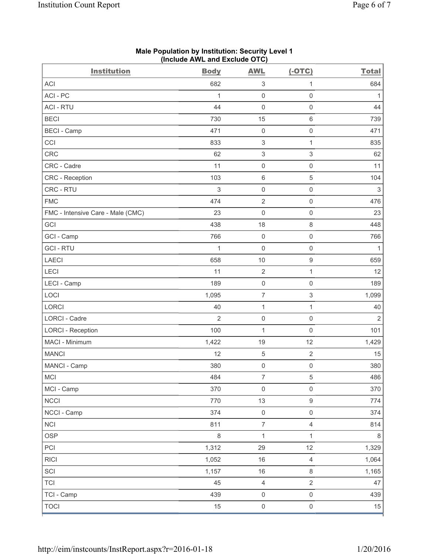| <b>Institution</b>                | <b>Body</b>    | <b>AWL</b>                | $(-OTC)$                  | <b>Total</b>   |
|-----------------------------------|----------------|---------------------------|---------------------------|----------------|
| <b>ACI</b>                        | 682            | 3                         | $\mathbf{1}$              | 684            |
| ACI-PC                            | $\mathbf{1}$   | $\mathbf 0$               | $\mathbf 0$               | $\mathbf{1}$   |
| <b>ACI - RTU</b>                  | 44             | $\mathsf{O}\xspace$       | $\mathsf{O}\xspace$       | 44             |
| <b>BECI</b>                       | 730            | 15                        | $\,6$                     | 739            |
| <b>BECI</b> - Camp                | 471            | $\mathsf{O}\xspace$       | $\mathbf 0$               | 471            |
| CCI                               | 833            | $\ensuremath{\mathsf{3}}$ | $\mathbf{1}$              | 835            |
| CRC                               | 62             | $\ensuremath{\mathsf{3}}$ | $\mathfrak{S}$            | 62             |
| CRC - Cadre                       | 11             | $\mathsf{O}\xspace$       | $\mathsf 0$               | 11             |
| CRC - Reception                   | 103            | $\,6\,$                   | $\mathbf 5$               | 104            |
| CRC - RTU                         | 3              | $\mathsf{O}\xspace$       | $\mathsf{O}\xspace$       | $\mathfrak{S}$ |
| <b>FMC</b>                        | 474            | $\overline{2}$            | $\mathsf{O}\xspace$       | 476            |
| FMC - Intensive Care - Male (CMC) | 23             | $\mathsf{O}\xspace$       | $\mathsf{O}\xspace$       | 23             |
| GCI                               | 438            | 18                        | $\,8\,$                   | 448            |
| GCI - Camp                        | 766            | $\mathsf{O}\xspace$       | $\mathsf{O}\xspace$       | 766            |
| <b>GCI-RTU</b>                    | $\mathbf{1}$   | $\mathbf 0$               | $\mathsf{O}\xspace$       | $\mathbf{1}$   |
| <b>LAECI</b>                      | 658            | 10                        | $\mathsf g$               | 659            |
| LECI                              | 11             | $\overline{2}$            | $\mathbf{1}$              | 12             |
| LECI - Camp                       | 189            | $\mathsf{O}\xspace$       | $\mathsf{O}\xspace$       | 189            |
| LOCI                              | 1,095          | $\overline{7}$            | $\ensuremath{\mathsf{3}}$ | 1,099          |
| LORCI                             | 40             | $\mathbf{1}$              | $\mathbf{1}$              | 40             |
| <b>LORCI - Cadre</b>              | $\overline{2}$ | $\mathsf{O}\xspace$       | $\mathsf 0$               | $\overline{2}$ |
| <b>LORCI - Reception</b>          | 100            | 1                         | $\mathbf 0$               | 101            |
| MACI - Minimum                    | 1,422          | 19                        | 12                        | 1,429          |
| <b>MANCI</b>                      | 12             | 5                         | $\sqrt{2}$                | 15             |
| MANCI - Camp                      | 380            | $\mathsf{O}\xspace$       | $\mathsf{O}\xspace$       | 380            |
| <b>MCI</b>                        | 484            | $\overline{7}$            | $\,$ 5 $\,$               | 486            |
| MCI - Camp                        | 370            | $\mathsf{O}\xspace$       | $\mathsf{O}\xspace$       | 370            |
| NCCI                              | 770            | 13                        | $\mathsf g$               | 774            |
| NCCI - Camp                       | 374            | $\mathsf 0$               | $\mathsf{O}\xspace$       | 374            |
| <b>NCI</b>                        | 811            | $\overline{7}$            | $\overline{4}$            | 814            |
| <b>OSP</b>                        | $\,8\,$        | $\mathbf{1}$              | $\mathbf{1}$              | 8              |
| PCI                               | 1,312          | 29                        | 12                        | 1,329          |
| <b>RICI</b>                       | 1,052          | 16                        | $\overline{4}$            | 1,064          |
| SCI                               | 1,157          | 16                        | $\,8\,$                   | 1,165          |
| <b>TCI</b>                        | 45             | $\overline{4}$            | $\sqrt{2}$                | 47             |
| TCI - Camp                        | 439            | $\mathsf 0$               | $\mathsf{O}\xspace$       | 439            |
| <b>TOCI</b>                       | 15             | $\mathsf 0$               | $\mathsf{O}\xspace$       | 15             |

### **Male Population by Institution: Security Level 1 (Include AWL and Exclude OTC)**